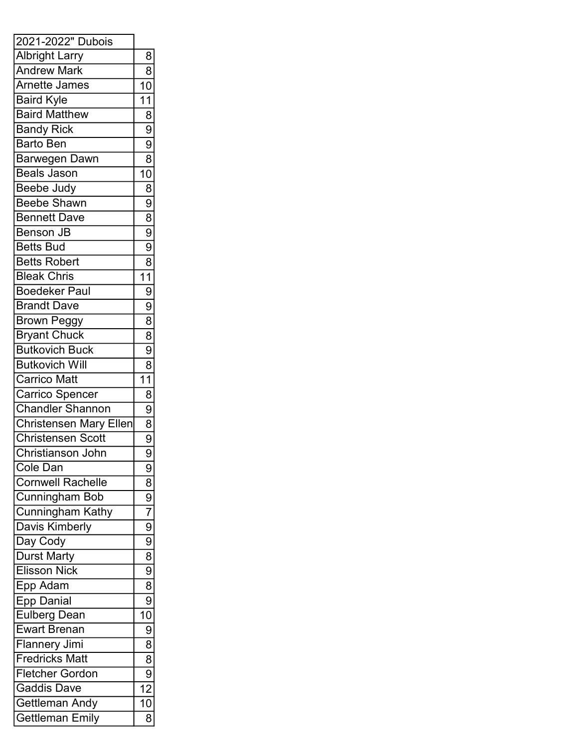| 2021-2022" Dubois             |                                                                                      |
|-------------------------------|--------------------------------------------------------------------------------------|
| <b>Albright Larry</b>         | 8                                                                                    |
| <b>Andrew Mark</b>            | $\overline{8}$                                                                       |
| <b>Arnette James</b>          | $\overline{10}$                                                                      |
| <b>Baird Kyle</b>             | $\overline{11}$                                                                      |
| <b>Baird Matthew</b>          |                                                                                      |
| <b>Bandy Rick</b>             |                                                                                      |
| <b>Barto Ben</b>              |                                                                                      |
| Barwegen Dawn                 | $\frac{8}{9}$ $\frac{8}{8}$                                                          |
| <b>Beals Jason</b>            | $\frac{1}{10}$                                                                       |
| Beebe Judy                    |                                                                                      |
| <b>Beebe Shawn</b>            | $\frac{8}{9}$<br>$\frac{8}{9}$                                                       |
| <b>Bennett Dave</b>           |                                                                                      |
| <b>Benson JB</b>              |                                                                                      |
| <b>Betts Bud</b>              |                                                                                      |
| <b>Betts Robert</b>           |                                                                                      |
| <b>Bleak Chris</b>            | $\frac{8}{11}$                                                                       |
| <b>Boedeker Paul</b>          | $\overline{9}$                                                                       |
| <b>Brandt Dave</b>            |                                                                                      |
| <b>Brown Peggy</b>            | $\frac{1}{8}$                                                                        |
| <b>Bryant Chuck</b>           |                                                                                      |
| <b>Butkovich Buck</b>         | $\frac{8}{9}$                                                                        |
| <b>Butkovich Will</b>         |                                                                                      |
| Carrico Matt                  | $\frac{8}{11}$                                                                       |
| Carrico Spencer               | $\overline{8}$                                                                       |
| <b>Chandler Shannon</b>       |                                                                                      |
| <b>Christensen Mary Ellen</b> |                                                                                      |
| <b>Christensen Scott</b>      | $\frac{9}{8}$                                                                        |
| Christianson John             | $\overline{9}$                                                                       |
| Cole Dan                      | 9                                                                                    |
| Cornwell Rachelle             |                                                                                      |
| <b>Cunningham Bob</b>         |                                                                                      |
| <b>Cunningham Kathy</b>       |                                                                                      |
| Davis Kimberly                |                                                                                      |
| Day Cody                      |                                                                                      |
| <b>Durst Marty</b>            |                                                                                      |
| <b>Elisson Nick</b>           |                                                                                      |
| Epp Adam                      |                                                                                      |
| <b>Epp Danial</b>             | $\frac{8}{9}$ $\frac{9}{7}$ $\frac{9}{9}$ $\frac{9}{8}$ $\frac{8}{9}$ $\frac{9}{8}$  |
| <b>Eulberg Dean</b>           | $\overline{10}$                                                                      |
| <b>Ewart Brenan</b>           |                                                                                      |
| <b>Flannery Jimi</b>          |                                                                                      |
| <b>Fredricks Matt</b>         |                                                                                      |
| <b>Fletcher Gordon</b>        |                                                                                      |
| Gaddis Dave                   | $\begin{array}{c c}\n\hline\n9 \\ \hline\n8 \\ \hline\n9 \\ \hline\n12\n\end{array}$ |
| Gettleman Andy                | $\overline{10}$                                                                      |
| <b>Gettleman Emily</b>        | $\overline{\overline{8}}$                                                            |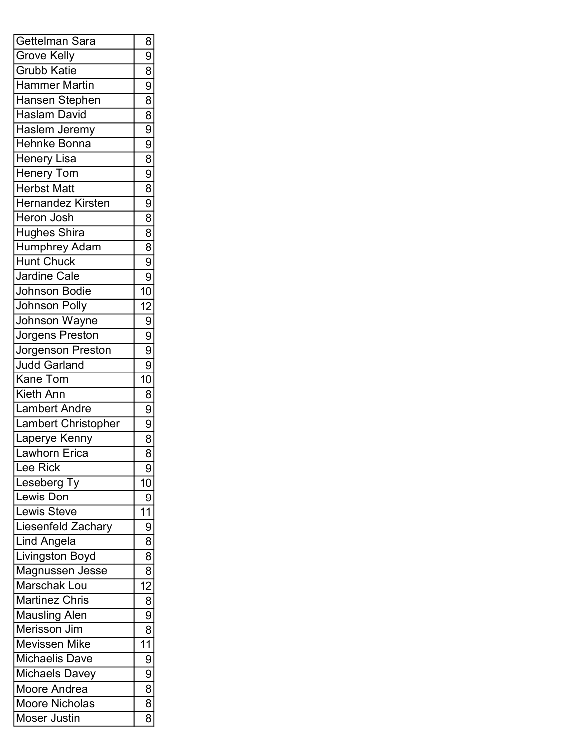| Gettelman Sara         | 8                                                                                   |
|------------------------|-------------------------------------------------------------------------------------|
| <b>Grove Kelly</b>     | $\overline{9}$                                                                      |
| <b>Grubb Katie</b>     |                                                                                     |
| <b>Hammer Martin</b>   |                                                                                     |
| Hansen Stephen         |                                                                                     |
| <b>Haslam David</b>    |                                                                                     |
| Haslem Jeremy          | $\frac{8}{9}$ $\frac{8}{8}$ $\frac{8}{9}$                                           |
| <b>Hehnke Bonna</b>    |                                                                                     |
| <b>Henery Lisa</b>     |                                                                                     |
| <b>Henery Tom</b>      |                                                                                     |
| <b>Herbst Matt</b>     |                                                                                     |
| Hernandez Kirsten      | $\frac{1}{9}$<br>$\frac{1}{8}$<br>$\frac{1}{8}$                                     |
| <b>Heron Josh</b>      |                                                                                     |
| Hughes Shira           |                                                                                     |
| Humphrey Adam          |                                                                                     |
| <b>Hunt Chuck</b>      |                                                                                     |
| Jardine Cale           |                                                                                     |
| Johnson Bodie          |                                                                                     |
| <b>Johnson Polly</b>   |                                                                                     |
| Johnson Wayne          |                                                                                     |
| Jorgens Preston        |                                                                                     |
| Jorgenson Preston      |                                                                                     |
| Judd Garland           |                                                                                     |
| <b>Kane Tom</b>        |                                                                                     |
| <b>Kieth Ann</b>       | $\frac{\log  \omega }{\log  \omega }$                                               |
| <b>Lambert Andre</b>   |                                                                                     |
| Lambert Christopher    |                                                                                     |
| Laperye Kenny          |                                                                                     |
| Lawhorn Erica          |                                                                                     |
| Lee Rick               | 9                                                                                   |
| Leseberg Ty            | 10                                                                                  |
| Lewis Don              | $\frac{9}{11}$                                                                      |
| <b>Lewis Steve</b>     |                                                                                     |
| Liesenfeld Zachary     |                                                                                     |
| <b>Lind Angela</b>     | $\overline{8}$                                                                      |
| <b>Livingston Boyd</b> |                                                                                     |
| <b>Magnussen Jesse</b> |                                                                                     |
| Marschak Lou           |                                                                                     |
| Martinez Chris         |                                                                                     |
| <b>Mausling Alen</b>   | $\begin{array}{c c}\n\hline\n8 \\ \hline\n8 \\ \hline\n9 \\ \hline\n8\n\end{array}$ |
| Merisson Jim           |                                                                                     |
| <b>Mevissen Mike</b>   | $\overline{11}$                                                                     |
| Michaelis Dave         |                                                                                     |
| <b>Michaels Davey</b>  | $\frac{1}{9}$ $\frac{1}{8}$ $\frac{1}{8}$                                           |
| Moore Andrea           |                                                                                     |
| Moore Nicholas         |                                                                                     |
| <b>Moser Justin</b>    | $\overline{\overline{s}}$                                                           |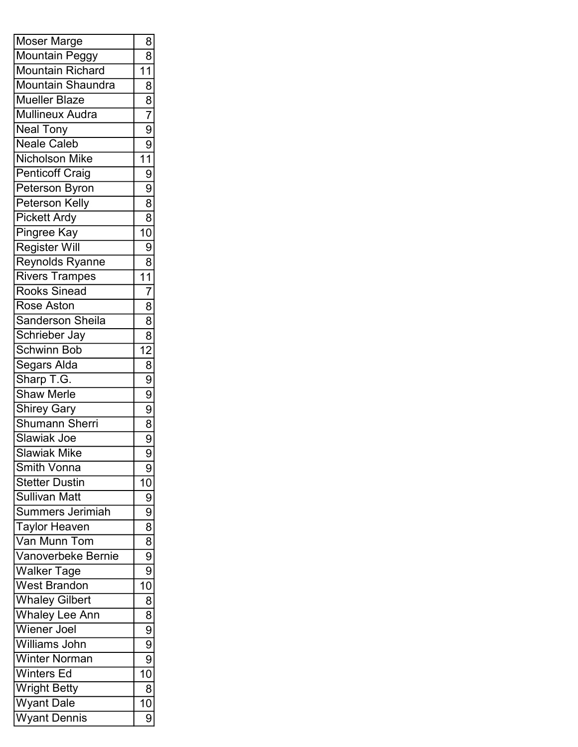| 8<br><b>Mountain Richard</b><br>11<br>Mountain Shaundra<br>$\overline{8}$<br>$\overline{8}$<br><b>Mueller Blaze</b><br>$\overline{7}$<br><b>Mullineux Audra</b><br>$\overline{9}$<br><b>Neal Tony</b><br>$\overline{9}$<br><b>Neale Caleb</b><br>$\overline{11}$<br><b>Nicholson Mike</b><br>$\overline{9}$<br><b>Penticoff Craig</b><br>$\frac{1}{9}$<br>Peterson Byron<br>$\overline{8}$<br><b>Peterson Kelly</b><br>$\frac{8}{10}$<br><b>Pickett Ardy</b><br>Pingree Kay<br><b>Register Will</b><br>$\frac{8}{11}$<br><b>Reynolds Ryanne</b><br><b>Rivers Trampes</b><br>$\overline{7}$<br><b>Rooks Sinead</b><br>$\overline{8}$<br><b>Rose Aston</b><br>$\overline{8}$<br><b>Sanderson Sheila</b><br>$\frac{8}{12}$<br>Schrieber Jay<br><b>Schwinn Bob</b><br>$\frac{1}{8}$<br>$\frac{1}{8}$<br>$\frac{1}{8}$<br>Segars Alda<br>Sharp T.G.<br><b>Shaw Merle</b><br>Shirey Gary<br><b>Shumann Sherri</b><br>$\frac{9}{9}$<br>Slawiak Joe<br><b>Slawiak Mike</b><br><b>Smith Vonna</b><br>9<br><b>Stetter Dustin</b><br>10<br><b>Sullivan Matt</b><br>$\overline{9}$<br>$\overline{9}$<br>Summers Jerimiah<br>$\overline{8}$<br><b>Taylor Heaven</b><br>$\overline{8}$<br>Van Munn Tom<br>Vanoverbeke Bernie<br>$\overline{9}$<br>$\overline{9}$<br><b>Walker Tage</b><br>10<br><b>West Brandon</b><br><b>Whaley Gilbert</b><br>8<br>$\overline{8}$<br><b>Whaley</b> Lee Ann<br><b>Wiener Joel</b><br>$\frac{9}{9}$<br>Williams John<br>$\overline{9}$<br><b>Winter Norman</b><br>$\overline{10}$<br><b>Winters Ed</b><br><b>Wright Betty</b><br>8<br><b>Wyant Dale</b><br>10<br>9 | <b>Moser Marge</b>  | 8 |
|--------------------------------------------------------------------------------------------------------------------------------------------------------------------------------------------------------------------------------------------------------------------------------------------------------------------------------------------------------------------------------------------------------------------------------------------------------------------------------------------------------------------------------------------------------------------------------------------------------------------------------------------------------------------------------------------------------------------------------------------------------------------------------------------------------------------------------------------------------------------------------------------------------------------------------------------------------------------------------------------------------------------------------------------------------------------------------------------------------------------------------------------------------------------------------------------------------------------------------------------------------------------------------------------------------------------------------------------------------------------------------------------------------------------------------------------------------------------------------------------------------------------------------------------------------------------------------------|---------------------|---|
|                                                                                                                                                                                                                                                                                                                                                                                                                                                                                                                                                                                                                                                                                                                                                                                                                                                                                                                                                                                                                                                                                                                                                                                                                                                                                                                                                                                                                                                                                                                                                                                      | Mountain Peggy      |   |
|                                                                                                                                                                                                                                                                                                                                                                                                                                                                                                                                                                                                                                                                                                                                                                                                                                                                                                                                                                                                                                                                                                                                                                                                                                                                                                                                                                                                                                                                                                                                                                                      |                     |   |
|                                                                                                                                                                                                                                                                                                                                                                                                                                                                                                                                                                                                                                                                                                                                                                                                                                                                                                                                                                                                                                                                                                                                                                                                                                                                                                                                                                                                                                                                                                                                                                                      |                     |   |
|                                                                                                                                                                                                                                                                                                                                                                                                                                                                                                                                                                                                                                                                                                                                                                                                                                                                                                                                                                                                                                                                                                                                                                                                                                                                                                                                                                                                                                                                                                                                                                                      |                     |   |
|                                                                                                                                                                                                                                                                                                                                                                                                                                                                                                                                                                                                                                                                                                                                                                                                                                                                                                                                                                                                                                                                                                                                                                                                                                                                                                                                                                                                                                                                                                                                                                                      |                     |   |
|                                                                                                                                                                                                                                                                                                                                                                                                                                                                                                                                                                                                                                                                                                                                                                                                                                                                                                                                                                                                                                                                                                                                                                                                                                                                                                                                                                                                                                                                                                                                                                                      |                     |   |
|                                                                                                                                                                                                                                                                                                                                                                                                                                                                                                                                                                                                                                                                                                                                                                                                                                                                                                                                                                                                                                                                                                                                                                                                                                                                                                                                                                                                                                                                                                                                                                                      |                     |   |
|                                                                                                                                                                                                                                                                                                                                                                                                                                                                                                                                                                                                                                                                                                                                                                                                                                                                                                                                                                                                                                                                                                                                                                                                                                                                                                                                                                                                                                                                                                                                                                                      |                     |   |
|                                                                                                                                                                                                                                                                                                                                                                                                                                                                                                                                                                                                                                                                                                                                                                                                                                                                                                                                                                                                                                                                                                                                                                                                                                                                                                                                                                                                                                                                                                                                                                                      |                     |   |
|                                                                                                                                                                                                                                                                                                                                                                                                                                                                                                                                                                                                                                                                                                                                                                                                                                                                                                                                                                                                                                                                                                                                                                                                                                                                                                                                                                                                                                                                                                                                                                                      |                     |   |
|                                                                                                                                                                                                                                                                                                                                                                                                                                                                                                                                                                                                                                                                                                                                                                                                                                                                                                                                                                                                                                                                                                                                                                                                                                                                                                                                                                                                                                                                                                                                                                                      |                     |   |
|                                                                                                                                                                                                                                                                                                                                                                                                                                                                                                                                                                                                                                                                                                                                                                                                                                                                                                                                                                                                                                                                                                                                                                                                                                                                                                                                                                                                                                                                                                                                                                                      |                     |   |
|                                                                                                                                                                                                                                                                                                                                                                                                                                                                                                                                                                                                                                                                                                                                                                                                                                                                                                                                                                                                                                                                                                                                                                                                                                                                                                                                                                                                                                                                                                                                                                                      |                     |   |
|                                                                                                                                                                                                                                                                                                                                                                                                                                                                                                                                                                                                                                                                                                                                                                                                                                                                                                                                                                                                                                                                                                                                                                                                                                                                                                                                                                                                                                                                                                                                                                                      |                     |   |
|                                                                                                                                                                                                                                                                                                                                                                                                                                                                                                                                                                                                                                                                                                                                                                                                                                                                                                                                                                                                                                                                                                                                                                                                                                                                                                                                                                                                                                                                                                                                                                                      |                     |   |
|                                                                                                                                                                                                                                                                                                                                                                                                                                                                                                                                                                                                                                                                                                                                                                                                                                                                                                                                                                                                                                                                                                                                                                                                                                                                                                                                                                                                                                                                                                                                                                                      |                     |   |
|                                                                                                                                                                                                                                                                                                                                                                                                                                                                                                                                                                                                                                                                                                                                                                                                                                                                                                                                                                                                                                                                                                                                                                                                                                                                                                                                                                                                                                                                                                                                                                                      |                     |   |
|                                                                                                                                                                                                                                                                                                                                                                                                                                                                                                                                                                                                                                                                                                                                                                                                                                                                                                                                                                                                                                                                                                                                                                                                                                                                                                                                                                                                                                                                                                                                                                                      |                     |   |
|                                                                                                                                                                                                                                                                                                                                                                                                                                                                                                                                                                                                                                                                                                                                                                                                                                                                                                                                                                                                                                                                                                                                                                                                                                                                                                                                                                                                                                                                                                                                                                                      |                     |   |
|                                                                                                                                                                                                                                                                                                                                                                                                                                                                                                                                                                                                                                                                                                                                                                                                                                                                                                                                                                                                                                                                                                                                                                                                                                                                                                                                                                                                                                                                                                                                                                                      |                     |   |
|                                                                                                                                                                                                                                                                                                                                                                                                                                                                                                                                                                                                                                                                                                                                                                                                                                                                                                                                                                                                                                                                                                                                                                                                                                                                                                                                                                                                                                                                                                                                                                                      |                     |   |
|                                                                                                                                                                                                                                                                                                                                                                                                                                                                                                                                                                                                                                                                                                                                                                                                                                                                                                                                                                                                                                                                                                                                                                                                                                                                                                                                                                                                                                                                                                                                                                                      |                     |   |
|                                                                                                                                                                                                                                                                                                                                                                                                                                                                                                                                                                                                                                                                                                                                                                                                                                                                                                                                                                                                                                                                                                                                                                                                                                                                                                                                                                                                                                                                                                                                                                                      |                     |   |
|                                                                                                                                                                                                                                                                                                                                                                                                                                                                                                                                                                                                                                                                                                                                                                                                                                                                                                                                                                                                                                                                                                                                                                                                                                                                                                                                                                                                                                                                                                                                                                                      |                     |   |
|                                                                                                                                                                                                                                                                                                                                                                                                                                                                                                                                                                                                                                                                                                                                                                                                                                                                                                                                                                                                                                                                                                                                                                                                                                                                                                                                                                                                                                                                                                                                                                                      |                     |   |
|                                                                                                                                                                                                                                                                                                                                                                                                                                                                                                                                                                                                                                                                                                                                                                                                                                                                                                                                                                                                                                                                                                                                                                                                                                                                                                                                                                                                                                                                                                                                                                                      |                     |   |
|                                                                                                                                                                                                                                                                                                                                                                                                                                                                                                                                                                                                                                                                                                                                                                                                                                                                                                                                                                                                                                                                                                                                                                                                                                                                                                                                                                                                                                                                                                                                                                                      |                     |   |
|                                                                                                                                                                                                                                                                                                                                                                                                                                                                                                                                                                                                                                                                                                                                                                                                                                                                                                                                                                                                                                                                                                                                                                                                                                                                                                                                                                                                                                                                                                                                                                                      |                     |   |
|                                                                                                                                                                                                                                                                                                                                                                                                                                                                                                                                                                                                                                                                                                                                                                                                                                                                                                                                                                                                                                                                                                                                                                                                                                                                                                                                                                                                                                                                                                                                                                                      |                     |   |
|                                                                                                                                                                                                                                                                                                                                                                                                                                                                                                                                                                                                                                                                                                                                                                                                                                                                                                                                                                                                                                                                                                                                                                                                                                                                                                                                                                                                                                                                                                                                                                                      |                     |   |
|                                                                                                                                                                                                                                                                                                                                                                                                                                                                                                                                                                                                                                                                                                                                                                                                                                                                                                                                                                                                                                                                                                                                                                                                                                                                                                                                                                                                                                                                                                                                                                                      |                     |   |
|                                                                                                                                                                                                                                                                                                                                                                                                                                                                                                                                                                                                                                                                                                                                                                                                                                                                                                                                                                                                                                                                                                                                                                                                                                                                                                                                                                                                                                                                                                                                                                                      |                     |   |
|                                                                                                                                                                                                                                                                                                                                                                                                                                                                                                                                                                                                                                                                                                                                                                                                                                                                                                                                                                                                                                                                                                                                                                                                                                                                                                                                                                                                                                                                                                                                                                                      |                     |   |
|                                                                                                                                                                                                                                                                                                                                                                                                                                                                                                                                                                                                                                                                                                                                                                                                                                                                                                                                                                                                                                                                                                                                                                                                                                                                                                                                                                                                                                                                                                                                                                                      |                     |   |
|                                                                                                                                                                                                                                                                                                                                                                                                                                                                                                                                                                                                                                                                                                                                                                                                                                                                                                                                                                                                                                                                                                                                                                                                                                                                                                                                                                                                                                                                                                                                                                                      |                     |   |
|                                                                                                                                                                                                                                                                                                                                                                                                                                                                                                                                                                                                                                                                                                                                                                                                                                                                                                                                                                                                                                                                                                                                                                                                                                                                                                                                                                                                                                                                                                                                                                                      |                     |   |
|                                                                                                                                                                                                                                                                                                                                                                                                                                                                                                                                                                                                                                                                                                                                                                                                                                                                                                                                                                                                                                                                                                                                                                                                                                                                                                                                                                                                                                                                                                                                                                                      |                     |   |
|                                                                                                                                                                                                                                                                                                                                                                                                                                                                                                                                                                                                                                                                                                                                                                                                                                                                                                                                                                                                                                                                                                                                                                                                                                                                                                                                                                                                                                                                                                                                                                                      |                     |   |
|                                                                                                                                                                                                                                                                                                                                                                                                                                                                                                                                                                                                                                                                                                                                                                                                                                                                                                                                                                                                                                                                                                                                                                                                                                                                                                                                                                                                                                                                                                                                                                                      |                     |   |
|                                                                                                                                                                                                                                                                                                                                                                                                                                                                                                                                                                                                                                                                                                                                                                                                                                                                                                                                                                                                                                                                                                                                                                                                                                                                                                                                                                                                                                                                                                                                                                                      |                     |   |
|                                                                                                                                                                                                                                                                                                                                                                                                                                                                                                                                                                                                                                                                                                                                                                                                                                                                                                                                                                                                                                                                                                                                                                                                                                                                                                                                                                                                                                                                                                                                                                                      |                     |   |
|                                                                                                                                                                                                                                                                                                                                                                                                                                                                                                                                                                                                                                                                                                                                                                                                                                                                                                                                                                                                                                                                                                                                                                                                                                                                                                                                                                                                                                                                                                                                                                                      |                     |   |
|                                                                                                                                                                                                                                                                                                                                                                                                                                                                                                                                                                                                                                                                                                                                                                                                                                                                                                                                                                                                                                                                                                                                                                                                                                                                                                                                                                                                                                                                                                                                                                                      |                     |   |
|                                                                                                                                                                                                                                                                                                                                                                                                                                                                                                                                                                                                                                                                                                                                                                                                                                                                                                                                                                                                                                                                                                                                                                                                                                                                                                                                                                                                                                                                                                                                                                                      |                     |   |
|                                                                                                                                                                                                                                                                                                                                                                                                                                                                                                                                                                                                                                                                                                                                                                                                                                                                                                                                                                                                                                                                                                                                                                                                                                                                                                                                                                                                                                                                                                                                                                                      |                     |   |
|                                                                                                                                                                                                                                                                                                                                                                                                                                                                                                                                                                                                                                                                                                                                                                                                                                                                                                                                                                                                                                                                                                                                                                                                                                                                                                                                                                                                                                                                                                                                                                                      | <b>Wyant Dennis</b> |   |